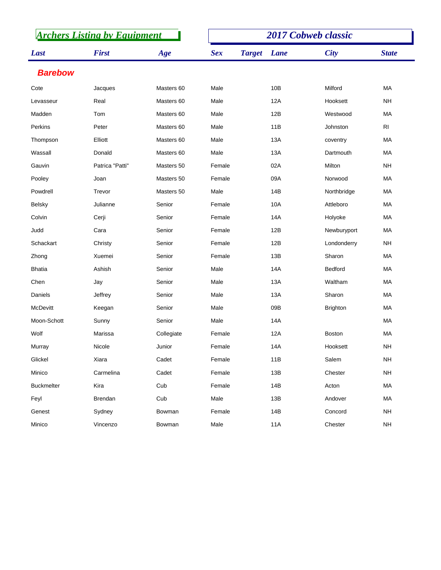| <b>Archers Listing by Equipment</b> |                 |            |            | 2017 Cobweb classic |      |                 |                |  |  |
|-------------------------------------|-----------------|------------|------------|---------------------|------|-----------------|----------------|--|--|
| Last                                | <b>First</b>    | Age        | <b>Sex</b> | <b>Target</b>       | Lane | <b>City</b>     | <b>State</b>   |  |  |
| <b>Barebow</b>                      |                 |            |            |                     |      |                 |                |  |  |
| Cote                                | Jacques         | Masters 60 | Male       |                     | 10B  | Milford         | MA             |  |  |
| Levasseur                           | Real            | Masters 60 | Male       |                     | 12A  | Hooksett        | <b>NH</b>      |  |  |
| Madden                              | Tom             | Masters 60 | Male       |                     | 12B  | Westwood        | MA             |  |  |
| Perkins                             | Peter           | Masters 60 | Male       |                     | 11B  | Johnston        | R <sub>l</sub> |  |  |
| Thompson                            | Elliott         | Masters 60 | Male       |                     | 13A  | coventry        | MA             |  |  |
| Wassall                             | Donald          | Masters 60 | Male       |                     | 13A  | Dartmouth       | <b>MA</b>      |  |  |
| Gauvin                              | Patrica "Patti" | Masters 50 | Female     |                     | 02A  | Milton          | <b>NH</b>      |  |  |
| Pooley                              | Joan            | Masters 50 | Female     |                     | 09A  | Norwood         | MA             |  |  |
| Powdrell                            | Trevor          | Masters 50 | Male       |                     | 14B  | Northbridge     | MA             |  |  |
| <b>Belsky</b>                       | Julianne        | Senior     | Female     |                     | 10A  | Attleboro       | MA             |  |  |
| Colvin                              | Cerji           | Senior     | Female     |                     | 14A  | Holyoke         | MA             |  |  |
| Judd                                | Cara            | Senior     | Female     |                     | 12B  | Newburyport     | MA             |  |  |
| Schackart                           | Christy         | Senior     | Female     |                     | 12B  | Londonderry     | <b>NH</b>      |  |  |
| Zhong                               | Xuemei          | Senior     | Female     |                     | 13B  | Sharon          | MA             |  |  |
| <b>Bhatia</b>                       | Ashish          | Senior     | Male       |                     | 14A  | Bedford         | <b>MA</b>      |  |  |
| Chen                                | Jay             | Senior     | Male       |                     | 13A  | Waltham         | MA             |  |  |
| Daniels                             | Jeffrey         | Senior     | Male       |                     | 13A  | Sharon          | <b>MA</b>      |  |  |
| <b>McDevitt</b>                     | Keegan          | Senior     | Male       |                     | 09B  | <b>Brighton</b> | <b>MA</b>      |  |  |
| Moon-Schott                         | Sunny           | Senior     | Male       |                     | 14A  |                 | MA             |  |  |
| Wolf                                | Marissa         | Collegiate | Female     |                     | 12A  | <b>Boston</b>   | МA             |  |  |
| Murray                              | Nicole          | Junior     | Female     |                     | 14A  | Hooksett        | <b>NH</b>      |  |  |
| Glickel                             | Xiara           | Cadet      | Female     |                     | 11B  | Salem           | <b>NH</b>      |  |  |
| Minico                              | Carmelina       | Cadet      | Female     |                     | 13B  | Chester         | <b>NH</b>      |  |  |
| <b>Buckmelter</b>                   | Kira            | Cub        | Female     |                     | 14B  | Acton           | MA             |  |  |
| Feyl                                | Brendan         | Cub        | Male       |                     | 13B  | Andover         | MA             |  |  |
| Genest                              | Sydney          | Bowman     | Female     |                     | 14B  | Concord         | <b>NH</b>      |  |  |
| Minico                              | Vincenzo        | Bowman     | Male       |                     | 11A  | Chester         | <b>NH</b>      |  |  |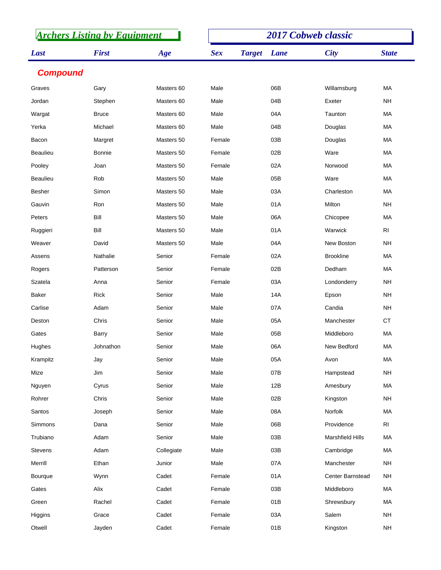| <b>Archers Listing by Equipment</b> |               |            | <b>2017 Cobweb classic</b> |               |      |                         |                |  |
|-------------------------------------|---------------|------------|----------------------------|---------------|------|-------------------------|----------------|--|
| Last                                | <b>First</b>  | Age        | <b>Sex</b>                 | <b>Target</b> | Lane | <b>City</b>             | <b>State</b>   |  |
| <b>Compound</b>                     |               |            |                            |               |      |                         |                |  |
| Graves                              | Gary          | Masters 60 | Male                       |               | 06B  | Willamsburg             | MA             |  |
| Jordan                              | Stephen       | Masters 60 | Male                       |               | 04B  | Exeter                  | <b>NH</b>      |  |
| Wargat                              | <b>Bruce</b>  | Masters 60 | Male                       |               | 04A  | Taunton                 | MA             |  |
| Yerka                               | Michael       | Masters 60 | Male                       |               | 04B  | Douglas                 | MA             |  |
| Bacon                               | Margret       | Masters 50 | Female                     |               | 03B  | Douglas                 | MA             |  |
| <b>Beaulieu</b>                     | <b>Bonnie</b> | Masters 50 | Female                     |               | 02B  | Ware                    | <b>MA</b>      |  |
| Pooley                              | Joan          | Masters 50 | Female                     |               | 02A  | Norwood                 | MA             |  |
| <b>Beaulieu</b>                     | Rob           | Masters 50 | Male                       |               | 05B  | Ware                    | <b>MA</b>      |  |
| Besher                              | Simon         | Masters 50 | Male                       |               | 03A  | Charleston              | MA             |  |
| Gauvin                              | Ron           | Masters 50 | Male                       |               | 01A  | Milton                  | <b>NH</b>      |  |
| Peters                              | Bill          | Masters 50 | Male                       |               | 06A  | Chicopee                | MA             |  |
| Ruggieri                            | Bill          | Masters 50 | Male                       |               | 01A  | Warwick                 | R <sub>1</sub> |  |
| Weaver                              | David         | Masters 50 | Male                       |               | 04A  | New Boston              | <b>NH</b>      |  |
| Assens                              | Nathalie      | Senior     | Female                     |               | 02A  | <b>Brookline</b>        | MA             |  |
| Rogers                              | Patterson     | Senior     | Female                     |               | 02B  | Dedham                  | MA             |  |
| Szatela                             | Anna          | Senior     | Female                     |               | 03A  | Londonderry             | <b>NH</b>      |  |
| <b>Baker</b>                        | Rick          | Senior     | Male                       |               | 14A  | Epson                   | <b>NH</b>      |  |
| Carlise                             | Adam          | Senior     | Male                       |               | 07A  | Candia                  | <b>NH</b>      |  |
| Deston                              | Chris         | Senior     | Male                       |               | 05A  | Manchester              | <b>CT</b>      |  |
| Gates                               | Barry         | Senior     | Male                       |               | 05B  | Middleboro              | MA             |  |
| Hughes                              | Johnathon     | Senior     | Male                       |               | 06A  | New Bedford             | МA             |  |
| Krampitz                            | Jay           | Senior     | Male                       |               | 05A  | Avon                    | MA             |  |
| Mize                                | Jim           | Senior     | Male                       |               | 07B  | Hampstead               | <b>NH</b>      |  |
| Nguyen                              | Cyrus         | Senior     | Male                       |               | 12B  | Amesbury                | MA             |  |
| Rohrer                              | Chris         | Senior     | Male                       |               | 02B  | Kingston                | <b>NH</b>      |  |
| Santos                              | Joseph        | Senior     | Male                       |               | 08A  | Norfolk                 | MA             |  |
| Simmons                             | Dana          | Senior     | Male                       |               | 06B  | Providence              | R <sub>l</sub> |  |
| Trubiano                            | Adam          | Senior     | Male                       |               | 03B  | <b>Marshfield Hills</b> | MA             |  |
| Stevens                             | Adam          | Collegiate | Male                       |               | 03B  | Cambridge               | МA             |  |
| Merrill                             | Ethan         | Junior     | Male                       |               | 07A  | Manchester              | <b>NH</b>      |  |
| Bourque                             | Wynn          | Cadet      | Female                     |               | 01A  | Center Barnstead        | NΗ             |  |
| Gates                               | Alix          | Cadet      | Female                     |               | 03B  | Middleboro              | MA             |  |
| Green                               | Rachel        | Cadet      | Female                     |               | 01B  | Shrewsbury              | МA             |  |
| Higgins                             | Grace         | Cadet      | Female                     |               | 03A  | Salem                   | <b>NH</b>      |  |
| Otwell                              | Jayden        | Cadet      | Female                     |               | 01B  | Kingston                | <b>NH</b>      |  |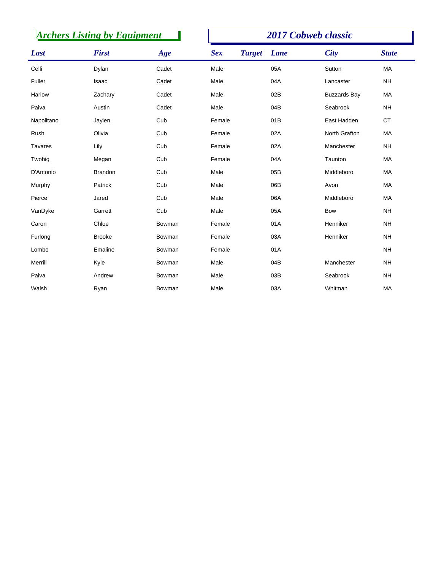| <b>Archers Listing by Equipment</b> |                |        | 2017 Cobweb classic |               |             |                     |              |  |
|-------------------------------------|----------------|--------|---------------------|---------------|-------------|---------------------|--------------|--|
| Last                                | <b>First</b>   | Age    | <b>Sex</b>          | <b>Target</b> | <b>Lane</b> | <b>City</b>         | <b>State</b> |  |
| Celli                               | Dylan          | Cadet  | Male                |               | 05A         | Sutton              | <b>MA</b>    |  |
| Fuller                              | Isaac          | Cadet  | Male                |               | 04A         | Lancaster           | <b>NH</b>    |  |
| Harlow                              | Zachary        | Cadet  | Male                |               | 02B         | <b>Buzzards Bay</b> | MA           |  |
| Paiva                               | Austin         | Cadet  | Male                |               | 04B         | Seabrook            | <b>NH</b>    |  |
| Napolitano                          | Jaylen         | Cub    | Female              |               | 01B         | East Hadden         | <b>CT</b>    |  |
| Rush                                | Olivia         | Cub    | Female              |               | 02A         | North Grafton       | MA           |  |
| <b>Tavares</b>                      | Lily           | Cub    | Female              |               | 02A         | Manchester          | <b>NH</b>    |  |
| Twohig                              | Megan          | Cub    | Female              |               | 04A         | Taunton             | MA           |  |
| D'Antonio                           | <b>Brandon</b> | Cub    | Male                |               | 05B         | Middleboro          | MA           |  |
| Murphy                              | Patrick        | Cub    | Male                |               | 06B         | Avon                | MA           |  |
| Pierce                              | Jared          | Cub    | Male                |               | 06A         | Middleboro          | MA           |  |
| VanDyke                             | Garrett        | Cub    | Male                |               | 05A         | <b>Bow</b>          | <b>NH</b>    |  |
| Caron                               | Chloe          | Bowman | Female              |               | 01A         | Henniker            | <b>NH</b>    |  |
| Furlong                             | <b>Brooke</b>  | Bowman | Female              |               | 03A         | Henniker            | <b>NH</b>    |  |
| Lombo                               | Emaline        | Bowman | Female              |               | 01A         |                     | <b>NH</b>    |  |
| Merrill                             | Kyle           | Bowman | Male                |               | 04B         | Manchester          | <b>NH</b>    |  |
| Paiva                               | Andrew         | Bowman | Male                |               | 03B         | Seabrook            | <b>NH</b>    |  |
| Walsh                               | Ryan           | Bowman | Male                |               | 03A         | Whitman             | MA           |  |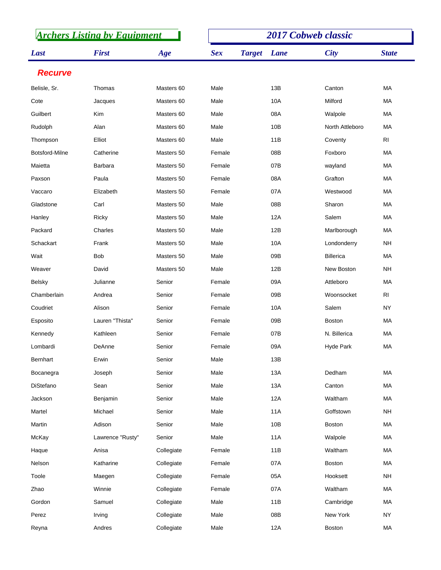| <b>Archers Listing by Equipment</b> |                  |            | <b>2017 Cobweb classic</b> |               |            |                  |                |  |
|-------------------------------------|------------------|------------|----------------------------|---------------|------------|------------------|----------------|--|
| Last                                | <b>First</b>     | Age        | <b>Sex</b>                 | <b>Target</b> | Lane       | <b>City</b>      | <b>State</b>   |  |
| <b>Recurve</b>                      |                  |            |                            |               |            |                  |                |  |
| Belisle, Sr.                        | Thomas           | Masters 60 | Male                       |               | 13B        | Canton           | MA             |  |
| Cote                                | Jacques          | Masters 60 | Male                       |               | 10A        | Milford          | МA             |  |
| Guilbert                            | Kim              | Masters 60 | Male                       |               | 08A        | Walpole          | MA             |  |
| Rudolph                             | Alan             | Masters 60 | Male                       |               | 10B        | North Attleboro  | МA             |  |
| Thompson                            | Elliot           | Masters 60 | Male                       |               | 11B        | Coventy          | R <sub>l</sub> |  |
| Botsford-Milne                      | Catherine        | Masters 50 | Female                     |               | 08B        | Foxboro          | MA             |  |
| Maietta                             | <b>Barbara</b>   | Masters 50 | Female                     |               | 07B        | wayland          | MA             |  |
| Paxson                              | Paula            | Masters 50 | Female                     |               | 08A        | Grafton          | MA             |  |
| Vaccaro                             | Elizabeth        | Masters 50 | Female                     |               | 07A        | Westwood         | <b>MA</b>      |  |
| Gladstone                           | Carl             | Masters 50 | Male                       |               | 08B        | Sharon           | МA             |  |
| Hanley                              | Ricky            | Masters 50 | Male                       |               | 12A        | Salem            | MA             |  |
| Packard                             | Charles          | Masters 50 | Male                       |               | 12B        | Marlborough      | MA             |  |
| Schackart                           | Frank            | Masters 50 | Male                       |               | 10A        | Londonderry      | <b>NH</b>      |  |
| Wait                                | <b>Bob</b>       | Masters 50 | Male                       |               | 09B        | <b>Billerica</b> | МA             |  |
| Weaver                              | David            | Masters 50 | Male                       |               | 12B        | New Boston       | <b>NH</b>      |  |
| <b>Belsky</b>                       | Julianne         | Senior     | Female                     |               | 09A        | Attleboro        | МA             |  |
| Chamberlain                         | Andrea           | Senior     | Female                     |               | 09B        | Woonsocket       | R <sub>1</sub> |  |
| Coudriet                            | Alison           | Senior     | Female                     |               | 10A        | Salem            | <b>NY</b>      |  |
| Esposito                            | Lauren "Thista"  | Senior     | Female                     |               | 09B        | <b>Boston</b>    | MA             |  |
| Kennedy                             | Kathleen         | Senior     | Female                     |               | 07B        | N. Billerica     | МA             |  |
| Lombardi                            | DeAnne           | Senior     | Female                     |               | 09A        | <b>Hyde Park</b> | МA             |  |
| Bernhart                            | Erwin            | Senior     | Male                       |               | 13B        |                  |                |  |
| Bocanegra                           | Joseph           | Senior     | Male                       |               | 13A        | Dedham           | MA             |  |
| DiStefano                           | Sean             | Senior     | Male                       |               | 13A        | Canton           | MA             |  |
| Jackson                             | Benjamin         | Senior     | Male                       |               | 12A        | Waltham          | MA             |  |
| Martel                              | Michael          | Senior     | Male                       |               | <b>11A</b> | Goffstown        | NH             |  |
| Martin                              | Adison           | Senior     | Male                       |               | 10B        | Boston           | MA             |  |
| McKay                               | Lawrence "Rusty" | Senior     | Male                       |               | 11A        | Walpole          | MA             |  |
| Haque                               | Anisa            | Collegiate | Female                     |               | 11B        | Waltham          | MA             |  |
| Nelson                              | Katharine        | Collegiate | Female                     |               | 07A        | Boston           | MA             |  |
| Toole                               | Maegen           | Collegiate | Female                     |               | 05A        | Hooksett         | <b>NH</b>      |  |
| Zhao                                | Winnie           | Collegiate | Female                     |               | 07A        | Waltham          | MA             |  |
| Gordon                              | Samuel           | Collegiate | Male                       |               | 11B        | Cambridge        | MA             |  |
| Perez                               | Irving           | Collegiate | Male                       |               | 08B        | New York         | <b>NY</b>      |  |
| Reyna                               | Andres           | Collegiate | Male                       |               | 12A        | Boston           | MA             |  |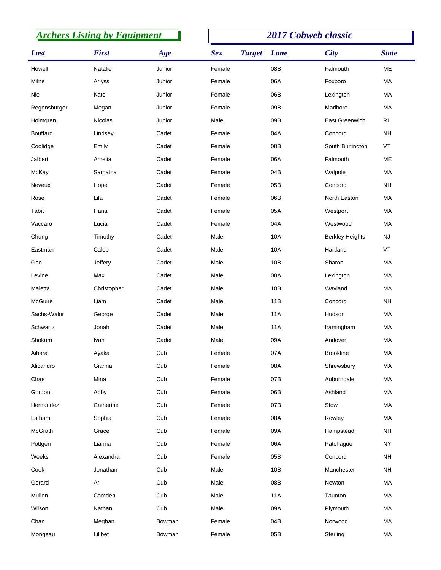| <b>Archers Listing by Equipment</b> |              |        | <b>2017 Cobweb classic</b> |               |            |                        |                 |  |
|-------------------------------------|--------------|--------|----------------------------|---------------|------------|------------------------|-----------------|--|
| Last                                | <b>First</b> | Age    | <b>Sex</b>                 | <b>Target</b> | Lane       | <b>City</b>            | <b>State</b>    |  |
| Howell                              | Natalie      | Junior | Female                     |               | 08B        | Falmouth               | ME              |  |
| Milne                               | Arlyss       | Junior | Female                     |               | 06A        | Foxboro                | MA              |  |
| Nie                                 | Kate         | Junior | Female                     |               | 06B        | Lexington              | MA              |  |
| Regensburger                        | Megan        | Junior | Female                     |               | 09B        | Marlboro               | MA              |  |
| Holmgren                            | Nicolas      | Junior | Male                       |               | 09B        | East Greenwich         | $\mathsf{RI}$   |  |
| <b>Bouffard</b>                     | Lindsey      | Cadet  | Female                     |               | 04A        | Concord                | <b>NH</b>       |  |
| Coolidge                            | Emily        | Cadet  | Female                     |               | 08B        | South Burlington       | VT              |  |
| Jalbert                             | Amelia       | Cadet  | Female                     |               | 06A        | Falmouth               | ME              |  |
| McKay                               | Samatha      | Cadet  | Female                     |               | 04B        | Walpole                | MA              |  |
| Neveux                              | Hope         | Cadet  | Female                     |               | 05B        | Concord                | <b>NH</b>       |  |
| Rose                                | Lila         | Cadet  | Female                     |               | 06B        | North Easton           | MA              |  |
| Tabit                               | Hana         | Cadet  | Female                     |               | 05A        | Westport               | MA              |  |
| Vaccaro                             | Lucia        | Cadet  | Female                     |               | 04A        | Westwood               | MA              |  |
| Chung                               | Timothy      | Cadet  | Male                       |               | 10A        | <b>Berkley Heights</b> | <b>NJ</b>       |  |
| Eastman                             | Caleb        | Cadet  | Male                       |               | 10A        | Hartland               | VT              |  |
| Gao                                 | Jeffery      | Cadet  | Male                       |               | 10B        | Sharon                 | MA              |  |
| Levine                              | Max          | Cadet  | Male                       |               | 08A        | Lexington              | MA              |  |
| Maietta                             | Christopher  | Cadet  | Male                       |               | 10B        | Wayland                | MA              |  |
| McGuire                             | Liam         | Cadet  | Male                       |               | 11B        | Concord                | <b>NH</b>       |  |
| Sachs-Walor                         | George       | Cadet  | Male                       |               | <b>11A</b> | Hudson                 | MA              |  |
| Schwartz                            | Jonah        | Cadet  | Male                       |               | <b>11A</b> | framingham             | MA              |  |
| Shokum                              | Ivan         | Cadet  | Male                       |               | 09A        | Andover                | MA              |  |
| Aihara                              | Ayaka        | Cub    | Female                     |               | 07A        | <b>Brookline</b>       | MA              |  |
| Alicandro                           | Gianna       | Cub    | Female                     |               | 08A        | Shrewsbury             | MA              |  |
| Chae                                | Mina         | Cub    | Female                     |               | 07B        | Auburndale             | MA              |  |
| Gordon                              | Abby         | Cub    | Female                     |               | 06B        | Ashland                | MA              |  |
| Hernandez                           | Catherine    | Cub    | Female                     |               | 07B        | Stow                   | MA              |  |
| Latham                              | Sophia       | Cub    | Female                     |               | 08A        | Rowley                 | MA              |  |
| McGrath                             | Grace        | Cub    | Female                     |               | 09A        | Hampstead              | $\mathsf{NH}\,$ |  |
| Pottgen                             | Lianna       | Cub    | Female                     |               | 06A        | Patchague              | <b>NY</b>       |  |
| Weeks                               | Alexandra    | Cub    | Female                     |               | 05B        | Concord                | <b>NH</b>       |  |
| Cook                                | Jonathan     | Cub    | Male                       |               | 10B        | Manchester             | $\mathsf{NH}\,$ |  |
| Gerard                              | Ari          | Cub    | Male                       |               | 08B        | Newton                 | MA              |  |
| Mullen                              | Camden       | Cub    | Male                       |               | 11A        | Taunton                | MA              |  |
| Wilson                              | Nathan       | Cub    | Male                       |               | 09A        | Plymouth               | MA              |  |
| Chan                                | Meghan       | Bowman | Female                     |               | 04B        | Norwood                | MA              |  |
| Mongeau                             | Lilibet      | Bowman | Female                     |               | 05B        | Sterling               | MA              |  |